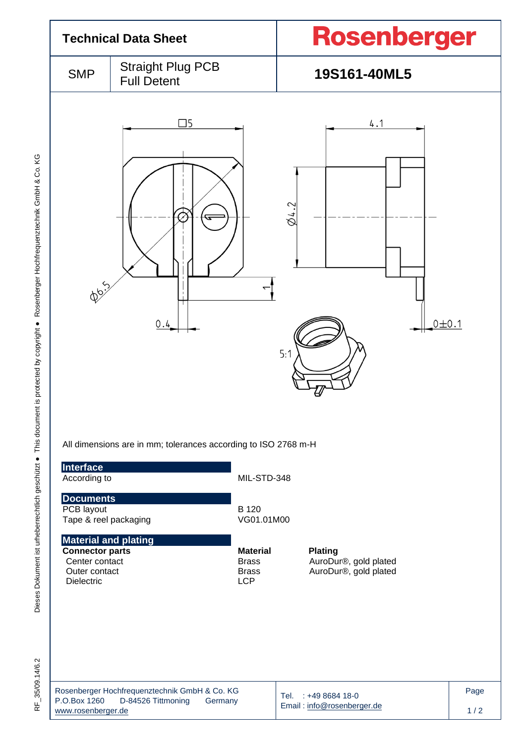